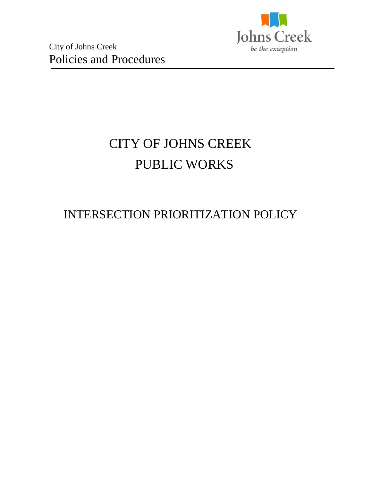

# CITY OF JOHNS CREEK PUBLIC WORKS

# INTERSECTION PRIORITIZATION POLICY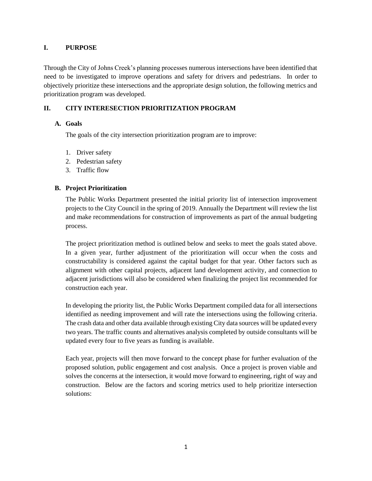## **I. PURPOSE**

Through the City of Johns Creek's planning processes numerous intersections have been identified that need to be investigated to improve operations and safety for drivers and pedestrians. In order to objectively prioritize these intersections and the appropriate design solution, the following metrics and prioritization program was developed.

# **II. CITY INTERESECTION PRIORITIZATION PROGRAM**

## **A. Goals**

The goals of the city intersection prioritization program are to improve:

- 1. Driver safety
- 2. Pedestrian safety
- 3. Traffic flow

## **B. Project Prioritization**

The Public Works Department presented the initial priority list of intersection improvement projects to the City Council in the spring of 2019. Annually the Department will review the list and make recommendations for construction of improvements as part of the annual budgeting process.

The project prioritization method is outlined below and seeks to meet the goals stated above. In a given year, further adjustment of the prioritization will occur when the costs and constructability is considered against the capital budget for that year. Other factors such as alignment with other capital projects, adjacent land development activity, and connection to adjacent jurisdictions will also be considered when finalizing the project list recommended for construction each year.

In developing the priority list, the Public Works Department compiled data for all intersections identified as needing improvement and will rate the intersections using the following criteria. The crash data and other data available through existing City data sources will be updated every two years. The traffic counts and alternatives analysis completed by outside consultants will be updated every four to five years as funding is available.

Each year, projects will then move forward to the concept phase for further evaluation of the proposed solution, public engagement and cost analysis. Once a project is proven viable and solves the concerns at the intersection, it would move forward to engineering, right of way and construction. Below are the factors and scoring metrics used to help prioritize intersection solutions: